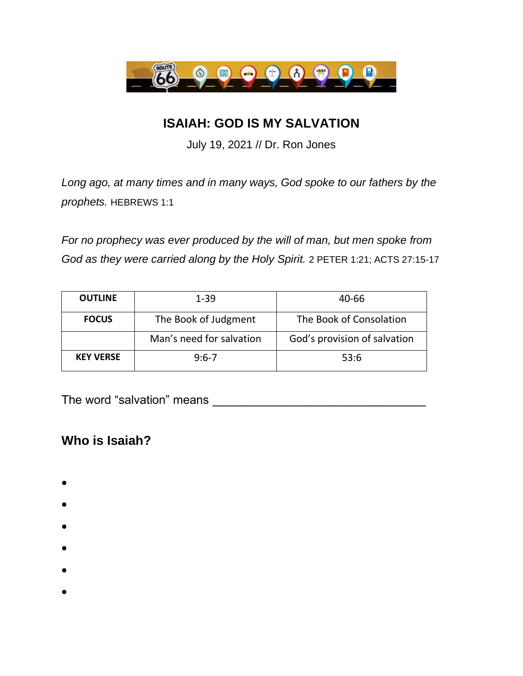

## **ISAIAH: GOD IS MY SALVATION**

July 19, 2021 // Dr. Ron Jones

*Long ago, at many times and in many ways, God spoke to our fathers by the prophets.* HEBREWS 1:1

*For no prophecy was ever produced by the will of man, but men spoke from God as they were carried along by the Holy Spirit.* 2 PETER 1:21; ACTS 27:15-17

| <b>OUTLINE</b>   | 1-39                     | 40-66                        |
|------------------|--------------------------|------------------------------|
| <b>FOCUS</b>     | The Book of Judgment     | The Book of Consolation      |
|                  | Man's need for salvation | God's provision of salvation |
| <b>KEY VERSE</b> | $9:6-7$                  | 53:6                         |

The word "salvation" means \_\_\_\_\_\_\_\_\_\_\_\_\_\_\_\_\_\_\_\_\_\_\_\_\_\_\_\_\_\_

## **Who is Isaiah?**

- •
- 
- •
- •
- •
- •
- •